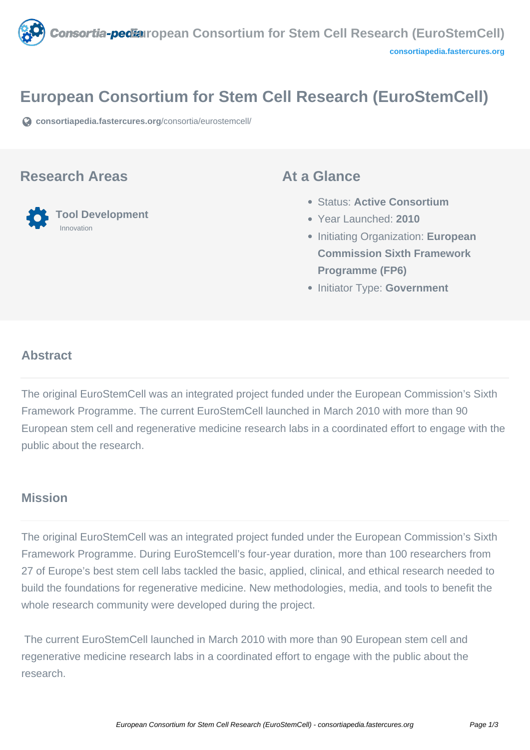

# **European Consortium for Stem Cell Research (EuroStemCell)**

**[consortiapedia.fastercures.org](https://consortiapedia.fastercures.org/consortia/eurostemcell/)**[/consortia/eurostemcell/](https://consortiapedia.fastercures.org/consortia/eurostemcell/)

#### **Research Areas**



#### **At a Glance**

- Status: **Active Consortium**
- Year Launched: **2010**
- **Initiating Organization: European Commission Sixth Framework Programme (FP6)**
- **Initiator Type: Government**

#### $\overline{a}$ **Abstract**

The original EuroStemCell was an integrated project funded under the European Commission's Sixth Framework Programme. The current EuroStemCell launched in March 2010 with more than 90 European stem cell and regenerative medicine research labs in a coordinated effort to engage with the public about the research.

#### **Mission**

The original EuroStemCell was an integrated project funded under the European Commission's Sixth Framework Programme. During EuroStemcell's four-year duration, more than 100 researchers from 27 of Europe's best stem cell labs tackled the basic, applied, clinical, and ethical research needed to build the foundations for regenerative medicine. New methodologies, media, and tools to benefit the whole research community were developed during the project.

 The current EuroStemCell launched in March 2010 with more than 90 European stem cell and regenerative medicine research labs in a coordinated effort to engage with the public about the research.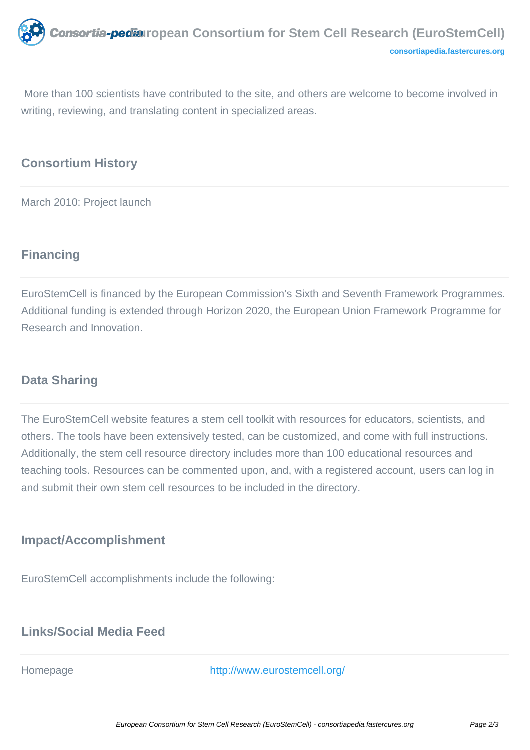More than 100 scientists have contributed to the site, and others are welcome to become involved in writing, reviewing, and translating content in specialized areas.

# **Consortium History**

March 2010: Project launch

# **Financing**

EuroStemCell is financed by the European Commission's Sixth and Seventh Framework Programmes. Additional funding is extended through Horizon 2020, the European Union Framework Programme for Research and Innovation.

# **Data Sharing**

The EuroStemCell website features a stem cell toolkit with resources for educators, scientists, and others. The tools have been extensively tested, can be customized, and come with full instructions. Additionally, the stem cell resource directory includes more than 100 educational resources and teaching tools. Resources can be commented upon, and, with a registered account, users can log in and submit their own stem cell resources to be included in the directory.

## **Impact/Accomplishment**

EuroStemCell accomplishments include the following:

### **Links/Social Media Feed**

Homepage <http://www.eurostemcell.org/>